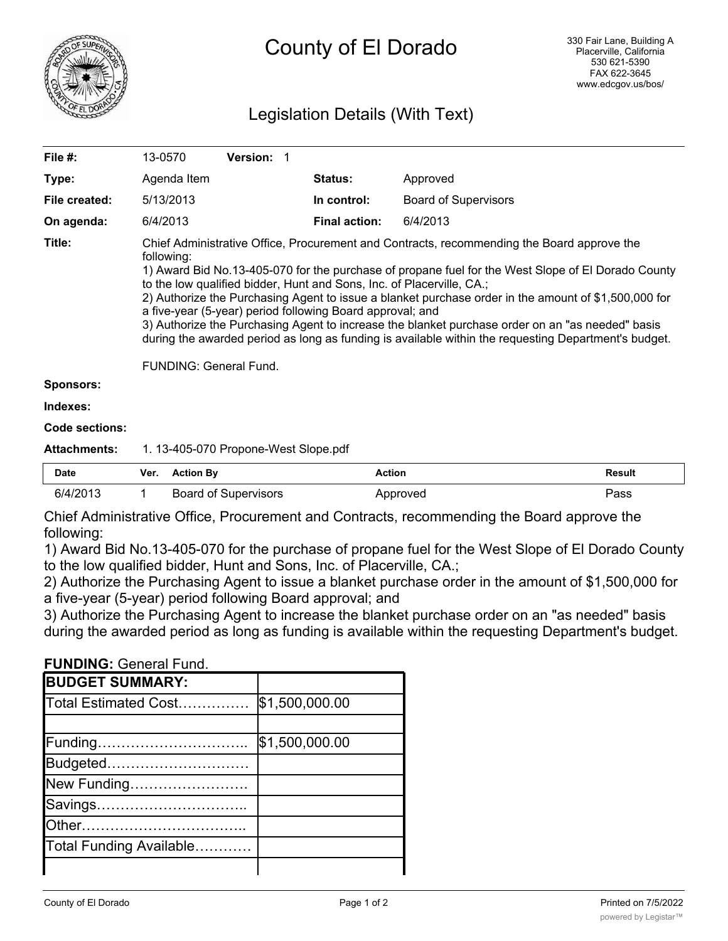

# Legislation Details (With Text)

| File #:             | 13-0570                                                                                                                                                                                                                                                                                                                                                                                                                                                                                                                                                                                                                                                                                                   | <b>Version: 1</b> |                      |                             |  |  |
|---------------------|-----------------------------------------------------------------------------------------------------------------------------------------------------------------------------------------------------------------------------------------------------------------------------------------------------------------------------------------------------------------------------------------------------------------------------------------------------------------------------------------------------------------------------------------------------------------------------------------------------------------------------------------------------------------------------------------------------------|-------------------|----------------------|-----------------------------|--|--|
| Type:               | Agenda Item                                                                                                                                                                                                                                                                                                                                                                                                                                                                                                                                                                                                                                                                                               |                   | <b>Status:</b>       | Approved                    |  |  |
| File created:       | 5/13/2013                                                                                                                                                                                                                                                                                                                                                                                                                                                                                                                                                                                                                                                                                                 |                   | In control:          | <b>Board of Supervisors</b> |  |  |
| On agenda:          | 6/4/2013                                                                                                                                                                                                                                                                                                                                                                                                                                                                                                                                                                                                                                                                                                  |                   | <b>Final action:</b> | 6/4/2013                    |  |  |
| Title:              | Chief Administrative Office, Procurement and Contracts, recommending the Board approve the<br>following:<br>1) Award Bid No.13-405-070 for the purchase of propane fuel for the West Slope of El Dorado County<br>to the low qualified bidder, Hunt and Sons, Inc. of Placerville, CA.;<br>2) Authorize the Purchasing Agent to issue a blanket purchase order in the amount of \$1,500,000 for<br>a five-year (5-year) period following Board approval; and<br>3) Authorize the Purchasing Agent to increase the blanket purchase order on an "as needed" basis<br>during the awarded period as long as funding is available within the requesting Department's budget.<br><b>FUNDING: General Fund.</b> |                   |                      |                             |  |  |
| <b>Sponsors:</b>    |                                                                                                                                                                                                                                                                                                                                                                                                                                                                                                                                                                                                                                                                                                           |                   |                      |                             |  |  |
| Indexes:            |                                                                                                                                                                                                                                                                                                                                                                                                                                                                                                                                                                                                                                                                                                           |                   |                      |                             |  |  |
| Code sections:      |                                                                                                                                                                                                                                                                                                                                                                                                                                                                                                                                                                                                                                                                                                           |                   |                      |                             |  |  |
| <b>Attachments:</b> | 1. 13-405-070 Propone-West Slope.pdf                                                                                                                                                                                                                                                                                                                                                                                                                                                                                                                                                                                                                                                                      |                   |                      |                             |  |  |

| Date     | Ver. | Action By            | Action   | Result |
|----------|------|----------------------|----------|--------|
| 6/4/2013 |      | Board of Supervisors | Approved | ⊃ass   |

Chief Administrative Office, Procurement and Contracts, recommending the Board approve the following:

1) Award Bid No.13-405-070 for the purchase of propane fuel for the West Slope of El Dorado County to the low qualified bidder, Hunt and Sons, Inc. of Placerville, CA.;

2) Authorize the Purchasing Agent to issue a blanket purchase order in the amount of \$1,500,000 for a five-year (5-year) period following Board approval; and

3) Authorize the Purchasing Agent to increase the blanket purchase order on an "as needed" basis during the awarded period as long as funding is available within the requesting Department's budget.

**FUNDING:** General Fund.

| <b>BUDGET SUMMARY:</b>  |                |
|-------------------------|----------------|
| Total Estimated Cost    | \$1,500,000.00 |
|                         |                |
| Funding                 | \$1,500,000.00 |
| Budgeted                |                |
| New Funding             |                |
| Savings                 |                |
| <b>IOther</b>           |                |
| Total Funding Available |                |
|                         |                |

Change To Net County Cost…… \$0.00